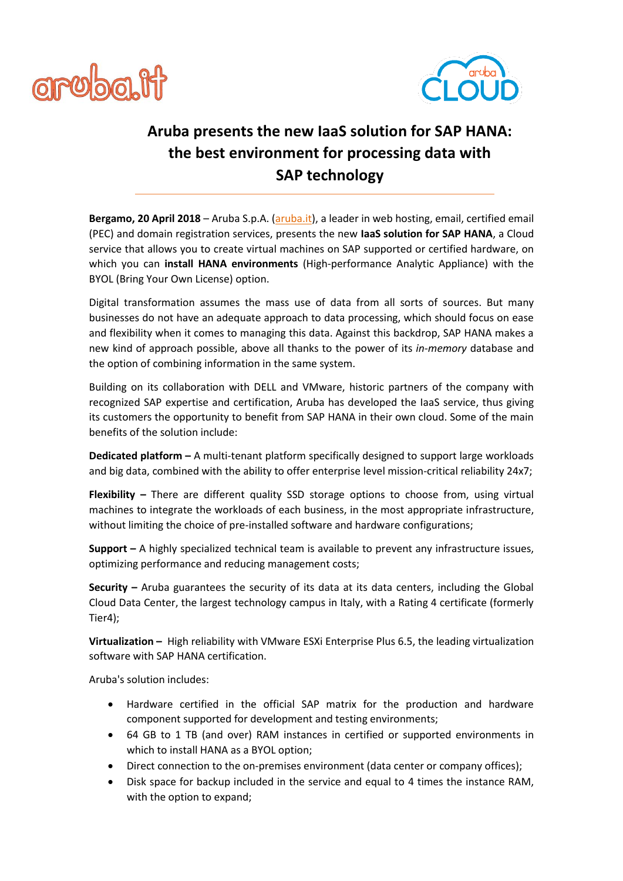



## **Aruba presents the new IaaS solution for SAP HANA: the best environment for processing data with SAP technology**

**Bergamo, 20 April 2018** – Aruba S.p.A. [\(aruba.it\)](https://www.aruba.it/en/home.aspx), a leader in web hosting, email, certified email (PEC) and domain registration services, presents the new **IaaS solution for SAP HANA**, a Cloud service that allows you to create virtual machines on SAP supported or certified hardware, on which you can **install HANA environments** (High-performance Analytic Appliance) with the BYOL (Bring Your Own License) option.

Digital transformation assumes the mass use of data from all sorts of sources. But many businesses do not have an adequate approach to data processing, which should focus on ease and flexibility when it comes to managing this data. Against this backdrop, SAP HANA makes a new kind of approach possible, above all thanks to the power of its *in-memory* database and the option of combining information in the same system.

Building on its collaboration with DELL and VMware, historic partners of the company with recognized SAP expertise and certification, Aruba has developed the IaaS service, thus giving its customers the opportunity to benefit from SAP HANA in their own cloud. Some of the main benefits of the solution include:

**Dedicated platform –** A multi-tenant platform specifically designed to support large workloads and big data, combined with the ability to offer enterprise level mission-critical reliability 24x7;

**Flexibility –** There are different quality SSD storage options to choose from, using virtual machines to integrate the workloads of each business, in the most appropriate infrastructure, without limiting the choice of pre-installed software and hardware configurations;

**Support –** A highly specialized technical team is available to prevent any infrastructure issues, optimizing performance and reducing management costs;

**Security –** Aruba guarantees the security of its data at its data centers, including the Global Cloud Data Center, the largest technology campus in Italy, with a Rating 4 certificate (formerly Tier4);

**Virtualization –** High reliability with VMware ESXi Enterprise Plus 6.5, the leading virtualization software with SAP HANA certification.

Aruba's solution includes:

- Hardware certified in the official SAP matrix for the production and hardware component supported for development and testing environments;
- 64 GB to 1 TB (and over) RAM instances in certified or supported environments in which to install HANA as a BYOL option;
- Direct connection to the on-premises environment (data center or company offices);
- Disk space for backup included in the service and equal to 4 times the instance RAM, with the option to expand;